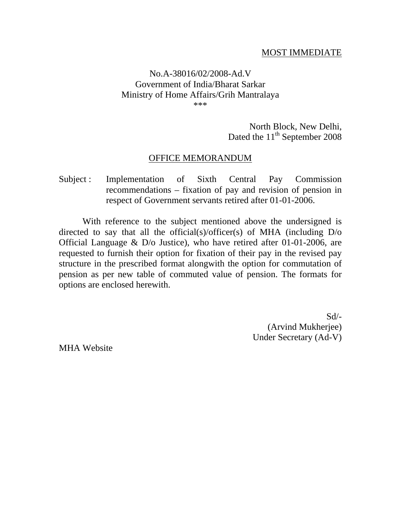### MOST IMMEDIATE

#### No.A-38016/02/2008-Ad.V Government of India/Bharat Sarkar Ministry of Home Affairs/Grih Mantralaya \*\*\*

# North Block, New Delhi, Dated the  $11<sup>th</sup>$  September 2008

### OFFICE MEMORANDUM

## Subject : Implementation of Sixth Central Pay Commission recommendations – fixation of pay and revision of pension in respect of Government servants retired after 01-01-2006.

With reference to the subject mentioned above the undersigned is directed to say that all the official(s)/officer(s) of MHA (including D/o Official Language & D/o Justice), who have retired after 01-01-2006, are requested to furnish their option for fixation of their pay in the revised pay structure in the prescribed format alongwith the option for commutation of pension as per new table of commuted value of pension. The formats for options are enclosed herewith.

> $Sd/-$ (Arvind Mukherjee) Under Secretary (Ad-V)

MHA Website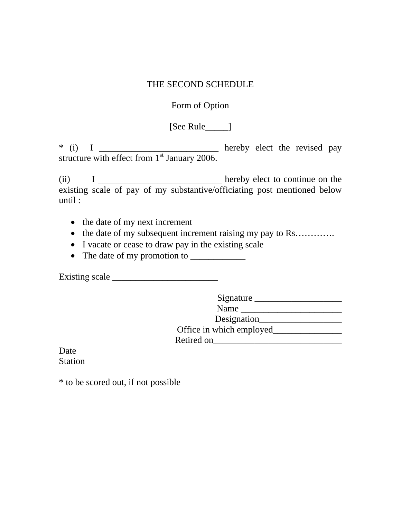### THE SECOND SCHEDULE

## Form of Option

[See Rule\_\_\_\_\_]

\* (i) I \_\_\_\_\_\_\_\_\_\_\_\_\_\_\_\_\_\_\_\_\_\_\_\_\_\_ hereby elect the revised pay structure with effect from  $1<sup>st</sup>$  January 2006.

(ii) I \_\_\_\_\_\_\_\_\_\_\_\_\_\_\_\_\_\_\_\_\_\_\_\_\_\_\_ hereby elect to continue on the existing scale of pay of my substantive/officiating post mentioned below until :

- the date of my next increment
- the date of my subsequent increment raising my pay to Rs………….
- I vacate or cease to draw pay in the existing scale
- The date of my promotion to \_\_\_\_\_\_\_\_\_\_\_\_

Existing scale  $\Box$ 

Signature \_\_\_\_\_\_\_\_\_\_\_\_\_\_\_\_\_\_\_ Name \_\_\_\_\_\_\_\_\_\_\_\_\_\_\_\_\_\_\_\_\_\_

Designation\_\_\_\_\_\_\_\_\_\_\_\_\_\_\_\_\_\_

Office in which employed\_\_\_\_\_\_\_\_\_\_\_\_\_\_\_

Retired on\_\_\_\_\_\_\_\_\_\_\_\_\_\_\_\_\_\_\_\_\_\_\_\_\_\_\_\_

Date Station

\* to be scored out, if not possible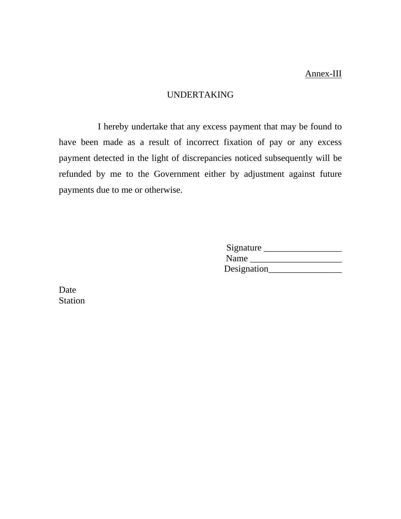### UNDERTAKING

 I hereby undertake that any excess payment that may be found to have been made as a result of incorrect fixation of pay or any excess payment detected in the light of discrepancies noticed subsequently will be refunded by me to the Government either by adjustment against future payments due to me or otherwise.

| Signature   |  |
|-------------|--|
| Name        |  |
| Designation |  |

Date Station